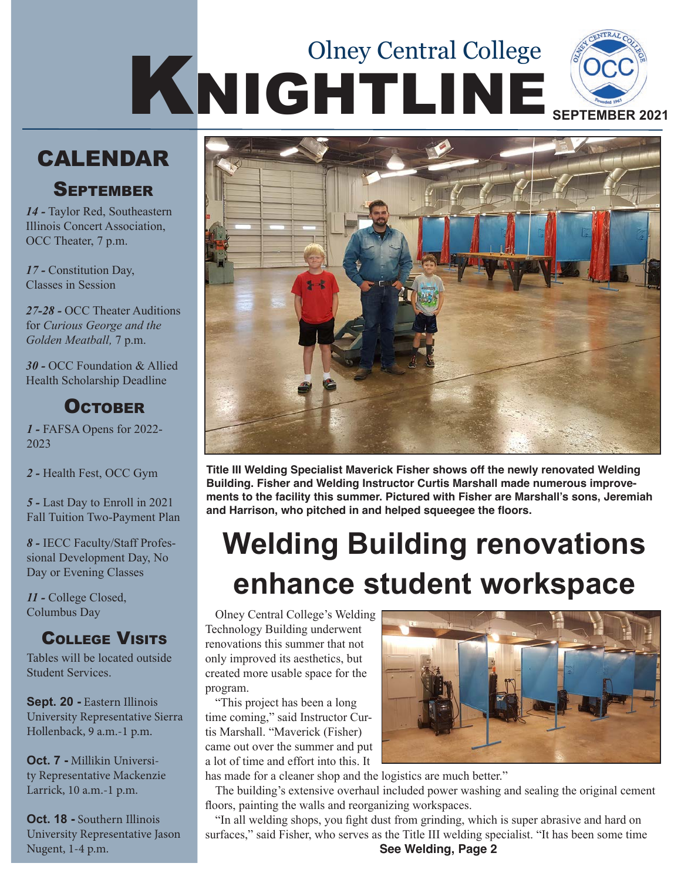# KNIGHTLINE SEPTEMBER 2021 Olney Central College

### **CALENDAR**

#### **SEPTEMBER**

*14 -* Taylor Red, Southeastern Illinois Concert Association, OCC Theater, 7 p.m.

*17 -* Constitution Day, Classes in Session

*27-28 -* OCC Theater Auditions for *Curious George and the Golden Meatball,* 7 p.m.

*30 -* OCC Foundation & Allied Health Scholarship Deadline

### **OCTOBER**

*1 -* FAFSA Opens for 2022- 2023

*2 -* Health Fest, OCC Gym

*5 -* Last Day to Enroll in 2021 Fall Tuition Two-Payment Plan

*8 -* IECC Faculty/Staff Professional Development Day, No Day or Evening Classes

*11 -* College Closed, Columbus Day

### College Visits

Tables will be located outside Student Services.

**Sept. 20 -** Eastern Illinois University Representative Sierra Hollenback, 9 a.m.-1 p.m.

**Oct. 7 -** Millikin University Representative Mackenzie Larrick, 10 a.m.-1 p.m.

**Oct. 18 -** Southern Illinois University Representative Jason Nugent, 1-4 p.m.



**Title III Welding Specialist Maverick Fisher shows off the newly renovated Welding Building. Fisher and Welding Instructor Curtis Marshall made numerous improvements to the facility this summer. Pictured with Fisher are Marshall's sons, Jeremiah and Harrison, who pitched in and helped squeegee the floors.**

## **Welding Building renovations enhance student workspace**

Olney Central College's Welding Technology Building underwent renovations this summer that not only improved its aesthetics, but created more usable space for the program.

"This project has been a long time coming," said Instructor Curtis Marshall. "Maverick (Fisher) came out over the summer and put a lot of time and effort into this. It



has made for a cleaner shop and the logistics are much better."

The building's extensive overhaul included power washing and sealing the original cement floors, painting the walls and reorganizing workspaces.

"In all welding shops, you fight dust from grinding, which is super abrasive and hard on surfaces," said Fisher, who serves as the Title III welding specialist. "It has been some time **See Welding, Page 2**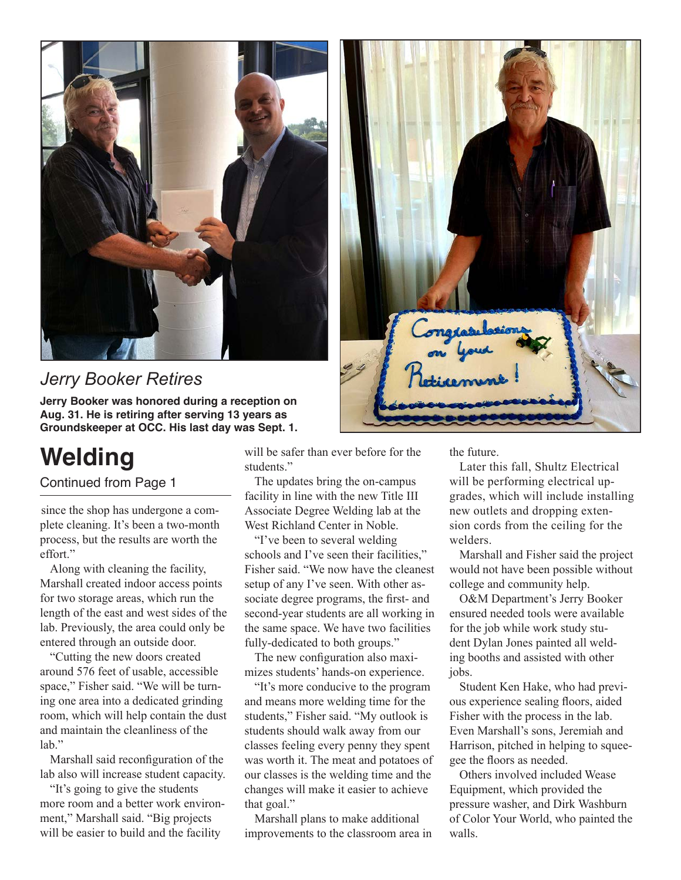

### *Jerry Booker Retires*

**Jerry Booker was honored during a reception on Aug. 31. He is retiring after serving 13 years as Groundskeeper at OCC. His last day was Sept. 1.**

## **Welding**

Continued from Page 1

since the shop has undergone a complete cleaning. It's been a two-month process, but the results are worth the effort."

Along with cleaning the facility, Marshall created indoor access points for two storage areas, which run the length of the east and west sides of the lab. Previously, the area could only be entered through an outside door.

"Cutting the new doors created around 576 feet of usable, accessible space," Fisher said. "We will be turning one area into a dedicated grinding room, which will help contain the dust and maintain the cleanliness of the lab."

Marshall said reconfiguration of the lab also will increase student capacity.

"It's going to give the students more room and a better work environment," Marshall said. "Big projects will be easier to build and the facility

will be safer than ever before for the students."

The updates bring the on-campus facility in line with the new Title III Associate Degree Welding lab at the West Richland Center in Noble.

"I've been to several welding schools and I've seen their facilities," Fisher said. "We now have the cleanest setup of any I've seen. With other associate degree programs, the first- and second-year students are all working in the same space. We have two facilities fully-dedicated to both groups."

The new configuration also maximizes students' hands-on experience.

"It's more conducive to the program and means more welding time for the students," Fisher said. "My outlook is students should walk away from our classes feeling every penny they spent was worth it. The meat and potatoes of our classes is the welding time and the changes will make it easier to achieve that goal."

Marshall plans to make additional improvements to the classroom area in



Later this fall, Shultz Electrical will be performing electrical upgrades, which will include installing new outlets and dropping extension cords from the ceiling for the welders.

Marshall and Fisher said the project would not have been possible without college and community help.

O&M Department's Jerry Booker ensured needed tools were available for the job while work study student Dylan Jones painted all welding booths and assisted with other jobs.

Student Ken Hake, who had previous experience sealing floors, aided Fisher with the process in the lab. Even Marshall's sons, Jeremiah and Harrison, pitched in helping to squeegee the floors as needed.

Others involved included Wease Equipment, which provided the pressure washer, and Dirk Washburn of Color Your World, who painted the walls.

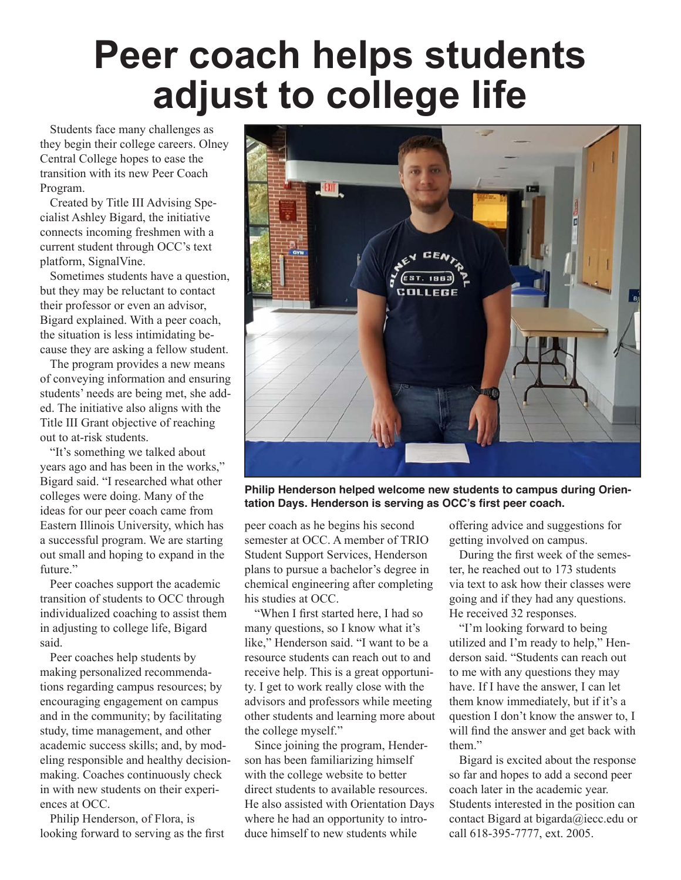## **Peer coach helps students adjust to college life**

Students face many challenges as they begin their college careers. Olney Central College hopes to ease the transition with its new Peer Coach Program.

Created by Title III Advising Specialist Ashley Bigard, the initiative connects incoming freshmen with a current student through OCC's text platform, SignalVine.

Sometimes students have a question, but they may be reluctant to contact their professor or even an advisor, Bigard explained. With a peer coach, the situation is less intimidating because they are asking a fellow student.

The program provides a new means of conveying information and ensuring students' needs are being met, she added. The initiative also aligns with the Title III Grant objective of reaching out to at-risk students.

"It's something we talked about years ago and has been in the works," Bigard said. "I researched what other colleges were doing. Many of the ideas for our peer coach came from Eastern Illinois University, which has a successful program. We are starting out small and hoping to expand in the future."

Peer coaches support the academic transition of students to OCC through individualized coaching to assist them in adjusting to college life, Bigard said.

Peer coaches help students by making personalized recommendations regarding campus resources; by encouraging engagement on campus and in the community; by facilitating study, time management, and other academic success skills; and, by modeling responsible and healthy decisionmaking. Coaches continuously check in with new students on their experiences at OCC.

Philip Henderson, of Flora, is looking forward to serving as the first



**Philip Henderson helped welcome new students to campus during Orientation Days. Henderson is serving as OCC's first peer coach.** 

peer coach as he begins his second semester at OCC. A member of TRIO Student Support Services, Henderson plans to pursue a bachelor's degree in chemical engineering after completing his studies at OCC.

"When I first started here, I had so many questions, so I know what it's like," Henderson said. "I want to be a resource students can reach out to and receive help. This is a great opportunity. I get to work really close with the advisors and professors while meeting other students and learning more about the college myself."

Since joining the program, Henderson has been familiarizing himself with the college website to better direct students to available resources. He also assisted with Orientation Days where he had an opportunity to introduce himself to new students while

offering advice and suggestions for getting involved on campus.

During the first week of the semester, he reached out to 173 students via text to ask how their classes were going and if they had any questions. He received 32 responses.

"I'm looking forward to being utilized and I'm ready to help," Henderson said. "Students can reach out to me with any questions they may have. If I have the answer, I can let them know immediately, but if it's a question I don't know the answer to, I will find the answer and get back with them."

Bigard is excited about the response so far and hopes to add a second peer coach later in the academic year. Students interested in the position can contact Bigard at bigarda@iecc.edu or call 618-395-7777, ext. 2005.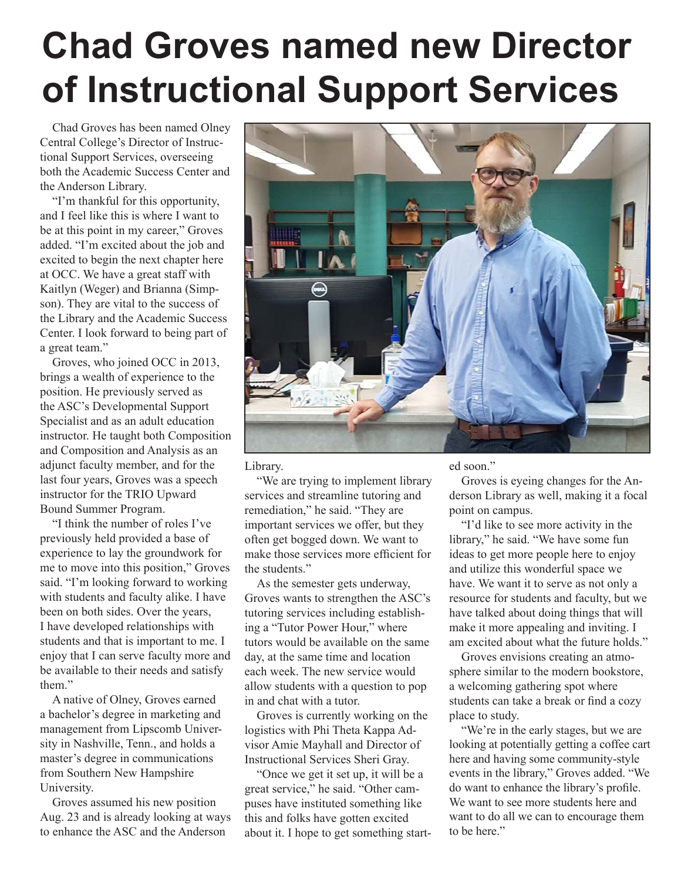## **Chad Groves named new Director of Instructional Support Services**

Chad Groves has been named Olney Central College's Director of Instructional Support Services, overseeing both the Academic Success Center and the Anderson Library.

"I'm thankful for this opportunity, and I feel like this is where I want to be at this point in my career," Groves added. "I'm excited about the job and excited to begin the next chapter here at OCC. We have a great staff with Kaitlyn (Weger) and Brianna (Simpson). They are vital to the success of the Library and the Academic Success Center. I look forward to being part of a great team."

Groves, who joined OCC in 2013, brings a wealth of experience to the position. He previously served as the ASC's Developmental Support Specialist and as an adult education instructor. He taught both Composition and Composition and Analysis as an adjunct faculty member, and for the last four years, Groves was a speech instructor for the TRIO Upward Bound Summer Program.

"I think the number of roles I've previously held provided a base of experience to lay the groundwork for me to move into this position," Groves said. "I'm looking forward to working with students and faculty alike. I have been on both sides. Over the years, I have developed relationships with students and that is important to me. I enjoy that I can serve faculty more and be available to their needs and satisfy them."

A native of Olney, Groves earned a bachelor's degree in marketing and management from Lipscomb University in Nashville, Tenn., and holds a master's degree in communications from Southern New Hampshire University.

Groves assumed his new position Aug. 23 and is already looking at ways to enhance the ASC and the Anderson



Library.

"We are trying to implement library services and streamline tutoring and remediation," he said. "They are important services we offer, but they often get bogged down. We want to make those services more efficient for the students"

As the semester gets underway, Groves wants to strengthen the ASC's tutoring services including establishing a "Tutor Power Hour," where tutors would be available on the same day, at the same time and location each week. The new service would allow students with a question to pop in and chat with a tutor.

Groves is currently working on the logistics with Phi Theta Kappa Advisor Amie Mayhall and Director of Instructional Services Sheri Gray.

"Once we get it set up, it will be a great service," he said. "Other campuses have instituted something like this and folks have gotten excited about it. I hope to get something started soon."

Groves is eyeing changes for the Anderson Library as well, making it a focal point on campus.

"I'd like to see more activity in the library," he said. "We have some fun ideas to get more people here to enjoy and utilize this wonderful space we have. We want it to serve as not only a resource for students and faculty, but we have talked about doing things that will make it more appealing and inviting. I am excited about what the future holds."

Groves envisions creating an atmosphere similar to the modern bookstore, a welcoming gathering spot where students can take a break or find a cozy place to study.

"We're in the early stages, but we are looking at potentially getting a coffee cart here and having some community-style events in the library," Groves added. "We do want to enhance the library's profile. We want to see more students here and want to do all we can to encourage them to be here."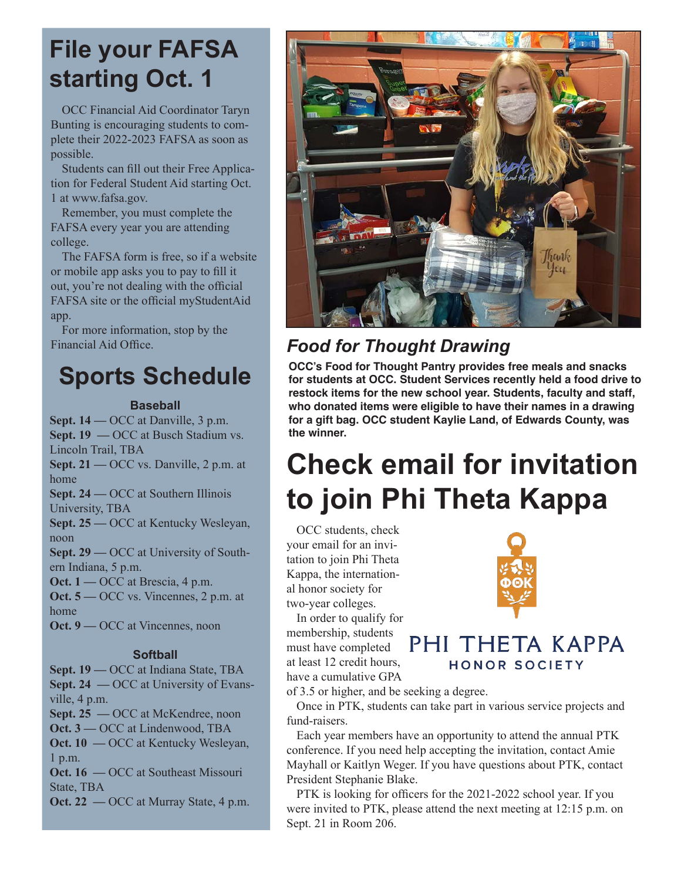## **File your FAFSA starting Oct. 1**

OCC Financial Aid Coordinator Taryn Bunting is encouraging students to complete their 2022-2023 FAFSA as soon as possible.

Students can fill out their Free Application for Federal Student Aid starting Oct. 1 at www.fafsa.gov.

Remember, you must complete the FAFSA every year you are attending college.

The FAFSA form is free, so if a website or mobile app asks you to pay to fill it out, you're not dealing with the official FAFSA site or the official myStudentAid app.

For more information, stop by the Financial Aid Office.

## **Sports Schedule**

#### **Baseball**

**Sept. 14 —** OCC at Danville, 3 p.m. **Sept. 19 — OCC at Busch Stadium vs.** Lincoln Trail, TBA **Sept. 21 —** OCC vs. Danville, 2 p.m. at home **Sept. 24 —** OCC at Southern Illinois University, TBA **Sept. 25 —** OCC at Kentucky Wesleyan, noon **Sept. 29 —** OCC at University of Southern Indiana, 5 p.m. **Oct.** 1 — OCC at Brescia, 4 p.m. **Oct. 5** — OCC vs. Vincennes, 2 p.m. at home **Oct. 9** — OCC at Vincennes, noon **Softball**

**Sept. 19 —** OCC at Indiana State, TBA **Sept. 24** — OCC at University of Evansville, 4 p.m.

**Sept. 25 —** OCC at McKendree, noon

**Oct. 3 —** OCC at Lindenwood, TBA **Oct. 10 — OCC at Kentucky Wesleyan,** 1 p.m.

**Oct. 16 — OCC at Southeast Missouri** State, TBA

**Oct. 22** — OCC at Murray State, 4 p.m.



### *Food for Thought Drawing*

**OCC's Food for Thought Pantry provides free meals and snacks for students at OCC. Student Services recently held a food drive to restock items for the new school year. Students, faculty and staff, who donated items were eligible to have their names in a drawing for a gift bag. OCC student Kaylie Land, of Edwards County, was the winner.** 

## **Check email for invitation to join Phi Theta Kappa**

OCC students, check your email for an invitation to join Phi Theta Kappa, the international honor society for two-year colleges.

In order to qualify for membership, students must have completed at least 12 credit hours, have a cumulative GPA



#### PHI THETA KAPPA HONOR SOCIETY

of 3.5 or higher, and be seeking a degree.

Once in PTK, students can take part in various service projects and fund-raisers.

Each year members have an opportunity to attend the annual PTK conference. If you need help accepting the invitation, contact Amie Mayhall or Kaitlyn Weger. If you have questions about PTK, contact President Stephanie Blake.

PTK is looking for officers for the 2021-2022 school year. If you were invited to PTK, please attend the next meeting at 12:15 p.m. on Sept. 21 in Room 206.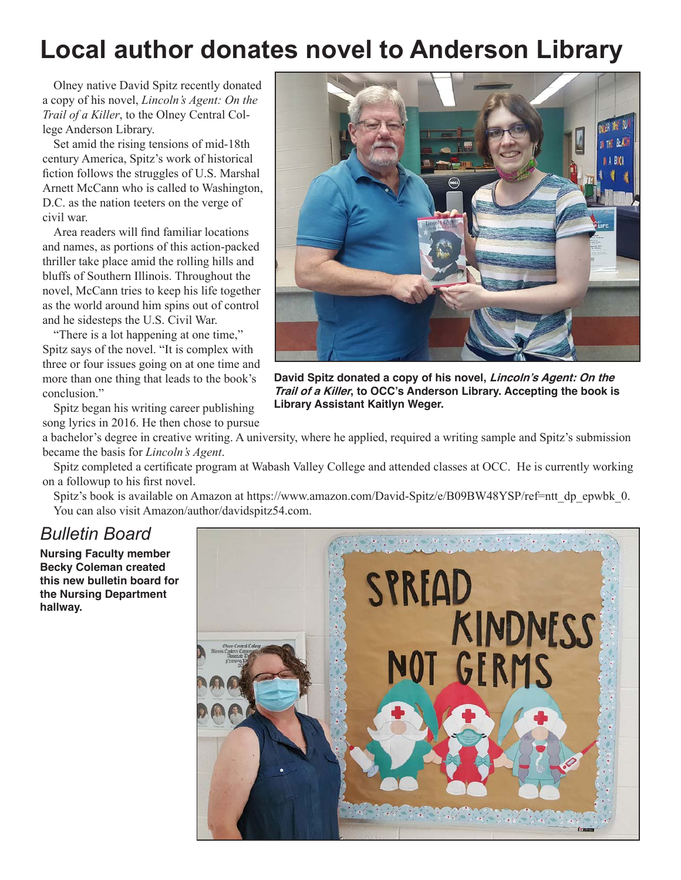## **Local author donates novel to Anderson Library**

Olney native David Spitz recently donated a copy of his novel, *Lincoln's Agent: On the Trail of a Killer*, to the Olney Central College Anderson Library.

Set amid the rising tensions of mid-18th century America, Spitz's work of historical fiction follows the struggles of U.S. Marshal Arnett McCann who is called to Washington, D.C. as the nation teeters on the verge of civil war.

Area readers will find familiar locations and names, as portions of this action-packed thriller take place amid the rolling hills and bluffs of Southern Illinois. Throughout the novel, McCann tries to keep his life together as the world around him spins out of control and he sidesteps the U.S. Civil War.

"There is a lot happening at one time," Spitz says of the novel. "It is complex with three or four issues going on at one time and more than one thing that leads to the book's conclusion."

Spitz began his writing career publishing song lyrics in 2016. He then chose to pursue

**David Spitz donated a copy of his novel, Lincoln's Agent: On the Trail of a Killer, to OCC's Anderson Library. Accepting the book is Library Assistant Kaitlyn Weger.** 

a bachelor's degree in creative writing. A university, where he applied, required a writing sample and Spitz's submission became the basis for *Lincoln's Agent*.

Spitz completed a certificate program at Wabash Valley College and attended classes at OCC. He is currently working on a followup to his first novel.

Spitz's book is available on Amazon at https://www.amazon.com/David-Spitz/e/B09BW48YSP/ref=ntt\_dp\_epwbk\_0. You can also visit Amazon/author/davidspitz54.com.

#### *Bulletin Board*

**Nursing Faculty member Becky Coleman created this new bulletin board for the Nursing Department hallway.**